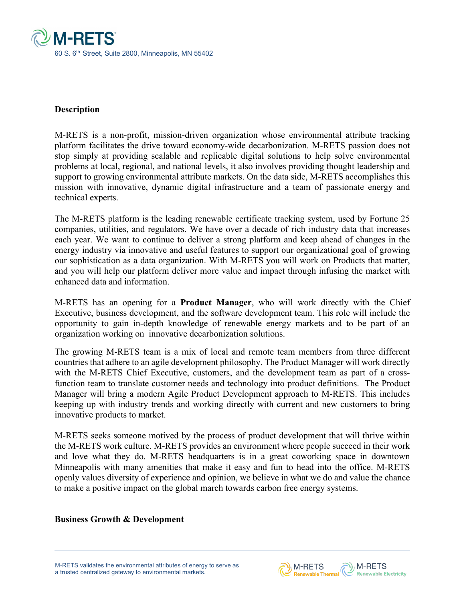

#### **Description**

M-RETS is a non-profit, mission-driven organization whose environmental attribute tracking platform facilitates the drive toward economy-wide decarbonization. M-RETS passion does not stop simply at providing scalable and replicable digital solutions to help solve environmental problems at local, regional, and national levels, it also involves providing thought leadership and support to growing environmental attribute markets. On the data side, M-RETS accomplishes this mission with innovative, dynamic digital infrastructure and a team of passionate energy and technical experts.

The M-RETS platform is the leading renewable certificate tracking system, used by Fortune 25 companies, utilities, and regulators. We have over a decade of rich industry data that increases each year. We want to continue to deliver a strong platform and keep ahead of changes in the energy industry via innovative and useful features to support our organizational goal of growing our sophistication as a data organization. With M-RETS you will work on Products that matter, and you will help our platform deliver more value and impact through infusing the market with enhanced data and information.

M-RETS has an opening for a **Product Manager**, who will work directly with the Chief Executive, business development, and the software development team. This role will include the opportunity to gain in-depth knowledge of renewable energy markets and to be part of an organization working on innovative decarbonization solutions.

The growing M-RETS team is a mix of local and remote team members from three different countries that adhere to an agile development philosophy. The Product Manager will work directly with the M-RETS Chief Executive, customers, and the development team as part of a crossfunction team to translate customer needs and technology into product definitions. The Product Manager will bring a modern Agile Product Development approach to M-RETS. This includes keeping up with industry trends and working directly with current and new customers to bring innovative products to market.

M-RETS seeks someone motived by the process of product development that will thrive within the M-RETS work culture. M-RETS provides an environment where people succeed in their work and love what they do. M-RETS headquarters is in a great coworking space in downtown Minneapolis with many amenities that make it easy and fun to head into the office. M-RETS openly values diversity of experience and opinion, we believe in what we do and value the chance to make a positive impact on the global march towards carbon free energy systems.

#### **Business Growth & Development**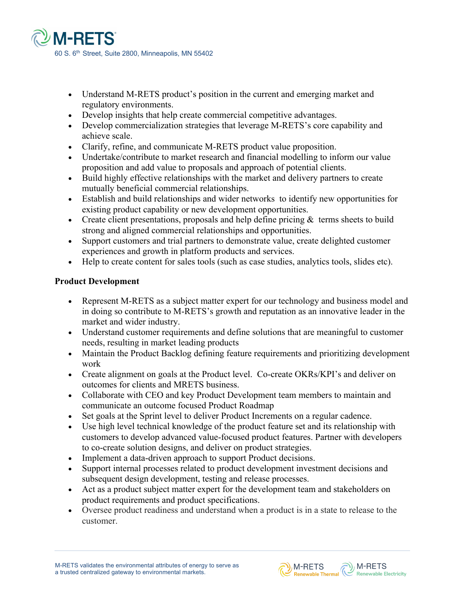

- Understand M-RETS product's position in the current and emerging market and regulatory environments.
- Develop insights that help create commercial competitive advantages.
- Develop commercialization strategies that leverage M-RETS's core capability and achieve scale.
- Clarify, refine, and communicate M-RETS product value proposition.
- Undertake/contribute to market research and financial modelling to inform our value proposition and add value to proposals and approach of potential clients.
- Build highly effective relationships with the market and delivery partners to create mutually beneficial commercial relationships.
- Establish and build relationships and wider networks to identify new opportunities for existing product capability or new development opportunities.
- Create client presentations, proposals and help define pricing  $\&$  terms sheets to build strong and aligned commercial relationships and opportunities.
- Support customers and trial partners to demonstrate value, create delighted customer experiences and growth in platform products and services.
- Help to create content for sales tools (such as case studies, analytics tools, slides etc).

# **Product Development**

- Represent M-RETS as a subject matter expert for our technology and business model and in doing so contribute to M-RETS's growth and reputation as an innovative leader in the market and wider industry.
- Understand customer requirements and define solutions that are meaningful to customer needs, resulting in market leading products
- Maintain the Product Backlog defining feature requirements and prioritizing development work
- Create alignment on goals at the Product level. Co-create OKRs/KPI's and deliver on outcomes for clients and MRETS business.
- Collaborate with CEO and key Product Development team members to maintain and communicate an outcome focused Product Roadmap
- Set goals at the Sprint level to deliver Product Increments on a regular cadence.
- Use high level technical knowledge of the product feature set and its relationship with customers to develop advanced value-focused product features. Partner with developers to co-create solution designs, and deliver on product strategies.
- Implement a data-driven approach to support Product decisions.
- Support internal processes related to product development investment decisions and subsequent design development, testing and release processes.
- Act as a product subject matter expert for the development team and stakeholders on product requirements and product specifications.
- Oversee product readiness and understand when a product is in a state to release to the customer.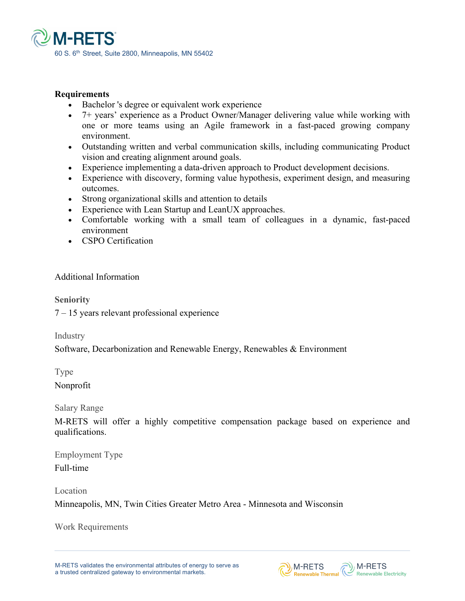

### **Requirements**

- Bachelor's degree or equivalent work experience
- 7+ years' experience as a Product Owner/Manager delivering value while working with one or more teams using an Agile framework in a fast-paced growing company environment.
- Outstanding written and verbal communication skills, including communicating Product vision and creating alignment around goals.
- Experience implementing a data-driven approach to Product development decisions.
- Experience with discovery, forming value hypothesis, experiment design, and measuring outcomes.
- Strong organizational skills and attention to details
- Experience with Lean Startup and LeanUX approaches.
- Comfortable working with a small team of colleagues in a dynamic, fast-paced environment
- CSPO Certification

# Additional Information

**Seniority**

7 – 15 years relevant professional experience

Industry

Software, Decarbonization and Renewable Energy, Renewables & Environment

Type Nonprofit

Salary Range

M-RETS will offer a highly competitive compensation package based on experience and qualifications.

M-RETS Renewable Thermal N-RETS

Employment Type Full-time

Location

Minneapolis, MN, Twin Cities Greater Metro Area - Minnesota and Wisconsin

Work Requirements

M-RETS validates the environmental attributes of energy to serve as a trusted centralized gateway to environmental markets.